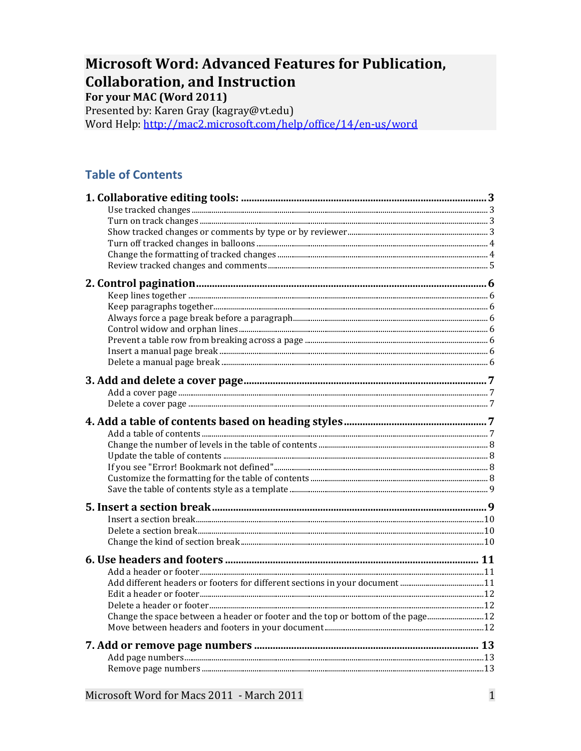# **Microsoft Word: Advanced Features for Publication, Collaboration, and Instruction**

For your MAC (Word 2011)

Presented by: Karen Gray (kagray@vt.edu) Word Help: http://mac2.microsoft.com/help/office/14/en-us/word

# **Table of Contents**

| Change the space between a header or footer and the top or bottom of the page |  |
|-------------------------------------------------------------------------------|--|
|                                                                               |  |
|                                                                               |  |
|                                                                               |  |
|                                                                               |  |
|                                                                               |  |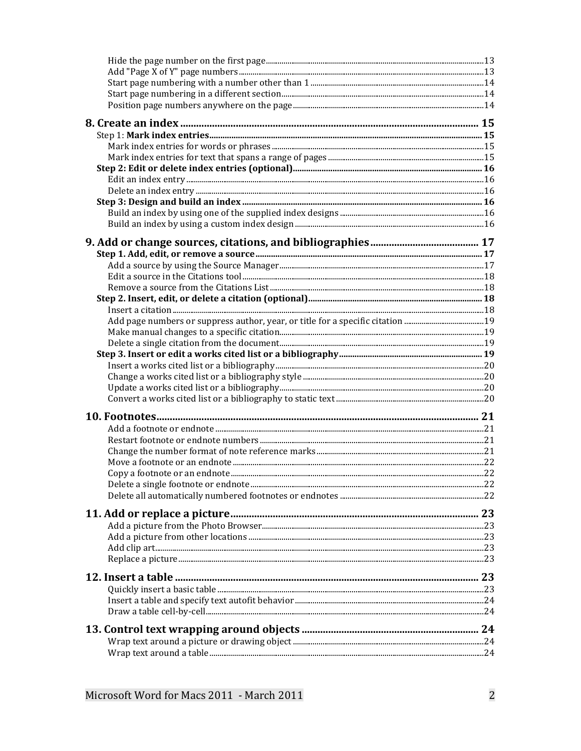| Add page numbers or suppress author, year, or title for a specific citation 19 |  |
|--------------------------------------------------------------------------------|--|
|                                                                                |  |
|                                                                                |  |
|                                                                                |  |
|                                                                                |  |
|                                                                                |  |
|                                                                                |  |
|                                                                                |  |
|                                                                                |  |
|                                                                                |  |
|                                                                                |  |
|                                                                                |  |
|                                                                                |  |
|                                                                                |  |
|                                                                                |  |
|                                                                                |  |
|                                                                                |  |
|                                                                                |  |
|                                                                                |  |
|                                                                                |  |
|                                                                                |  |
|                                                                                |  |
|                                                                                |  |
|                                                                                |  |
|                                                                                |  |
|                                                                                |  |
|                                                                                |  |
|                                                                                |  |
|                                                                                |  |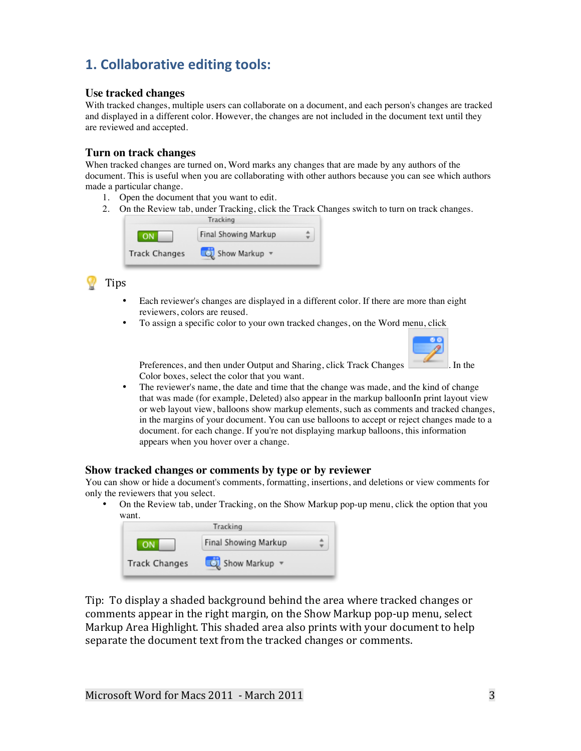# **1. Collaborative editing tools:**

### **Use tracked changes**

With tracked changes, multiple users can collaborate on a document, and each person's changes are tracked and displayed in a different color. However, the changes are not included in the document text until they are reviewed and accepted.

#### **Turn on track changes**

When tracked changes are turned on, Word marks any changes that are made by any authors of the document. This is useful when you are collaborating with other authors because you can see which authors made a particular change.

- 1. Open the document that you want to edit.
- 2. On the Review tab, under Tracking, click the Track Changes switch to turn on track changes.



# Tips

- Each reviewer's changes are displayed in a different color. If there are more than eight reviewers, colors are reused.
- To assign a specific color to your own tracked changes, on the Word menu, click



Preferences, and then under Output and Sharing, click Track Changes . In the Color boxes, select the color that you want.

• The reviewer's name, the date and time that the change was made, and the kind of change that was made (for example, Deleted) also appear in the markup balloonIn print layout view or web layout view, balloons show markup elements, such as comments and tracked changes, in the margins of your document. You can use balloons to accept or reject changes made to a document. for each change. If you're not displaying markup balloons, this information appears when you hover over a change.

#### **Show tracked changes or comments by type or by reviewer**

You can show or hide a document's comments, formatting, insertions, and deletions or view comments for only the reviewers that you select.

• On the Review tab, under Tracking, on the Show Markup pop-up menu, click the option that you want.

|                      | Tracking             |  |
|----------------------|----------------------|--|
|                      | Final Showing Markup |  |
| <b>Track Changes</b> | Show Markup v        |  |

Tip: To display a shaded background behind the area where tracked changes or comments appear in the right margin, on the Show Markup pop-up menu, select Markup Area Highlight. This shaded area also prints with your document to help separate the document text from the tracked changes or comments.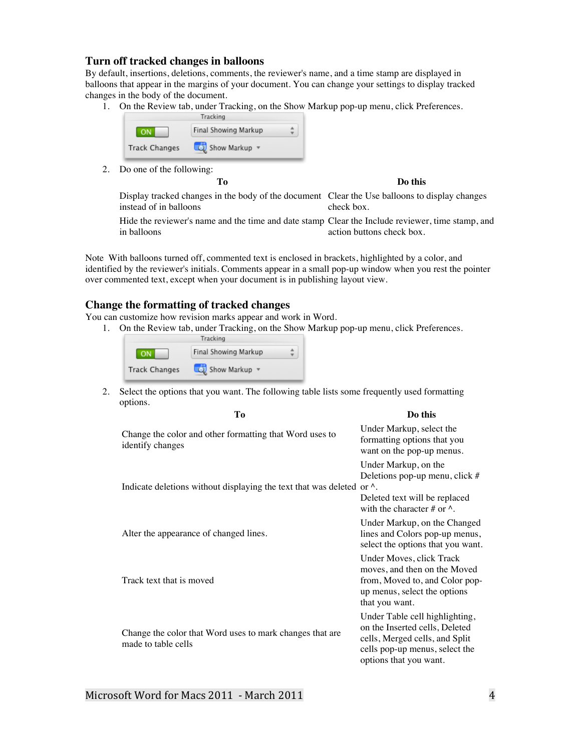#### **Turn off tracked changes in balloons**

By default, insertions, deletions, comments, the reviewer's name, and a time stamp are displayed in balloons that appear in the margins of your document. You can change your settings to display tracked changes in the body of the document.

1. On the Review tab, under Tracking, on the Show Markup pop-up menu, click Preferences.

|                      | Final Showing Markup |  |
|----------------------|----------------------|--|
| <b>Track Changes</b> | Show Markup          |  |

2. Do one of the following:

**To Do this**

Display tracked changes in the body of the document Clear the Use balloons to display changes instead of in balloons check box.

Hide the reviewer's name and the time and date stamp Clear the Include reviewer, time stamp, and in balloons action buttons check box.

Note With balloons turned off, commented text is enclosed in brackets, highlighted by a color, and identified by the reviewer's initials. Comments appear in a small pop-up window when you rest the pointer over commented text, except when your document is in publishing layout view.

#### **Change the formatting of tracked changes**

You can customize how revision marks appear and work in Word.

1. On the Review tab, under Tracking, on the Show Markup pop-up menu, click Preferences.

|                      | Tracking             |  |
|----------------------|----------------------|--|
|                      | Final Showing Markup |  |
| <b>Track Changes</b> | Show Markup v        |  |

2. Select the options that you want. The following table lists some frequently used formatting options.

| Tо                                                                              | Do this                                                                                                                                                        |
|---------------------------------------------------------------------------------|----------------------------------------------------------------------------------------------------------------------------------------------------------------|
| Change the color and other formatting that Word uses to<br>identify changes     | Under Markup, select the<br>formatting options that you<br>want on the pop-up menus.                                                                           |
| Indicate deletions without displaying the text that was deleted or $\lambda$ .  | Under Markup, on the<br>Deletions pop-up menu, click #                                                                                                         |
|                                                                                 | Deleted text will be replaced<br>with the character # or $\wedge$ .                                                                                            |
| Alter the appearance of changed lines.                                          | Under Markup, on the Changed<br>lines and Colors pop-up menus,<br>select the options that you want.                                                            |
| Track text that is moved                                                        | Under Moves, click Track<br>moves, and then on the Moved<br>from, Moved to, and Color pop-<br>up menus, select the options<br>that you want.                   |
| Change the color that Word uses to mark changes that are<br>made to table cells | Under Table cell highlighting,<br>on the Inserted cells, Deleted<br>cells, Merged cells, and Split<br>cells pop-up menus, select the<br>options that you want. |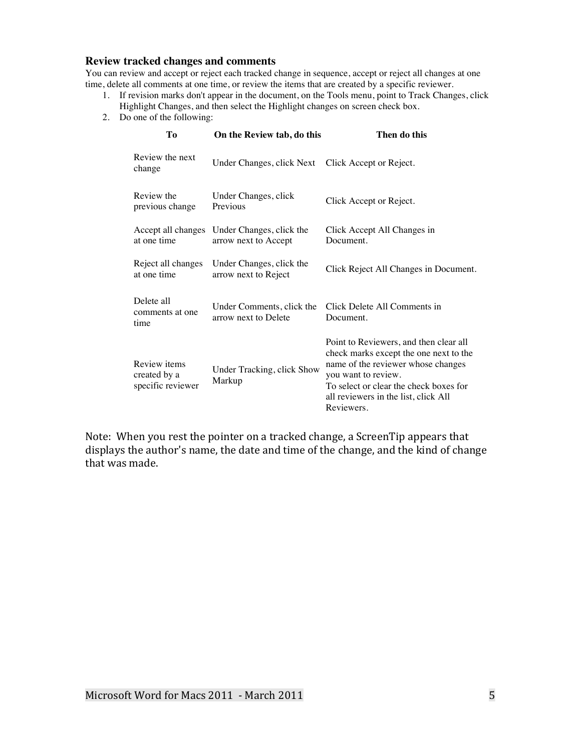### **Review tracked changes and comments**

You can review and accept or reject each tracked change in sequence, accept or reject all changes at one time, delete all comments at one time, or review the items that are created by a specific reviewer.

- 1. If revision marks don't appear in the document, on the Tools menu, point to Track Changes, click Highlight Changes, and then select the Highlight changes on screen check box.
- 2. Do one of the following:

| Tо                                                | On the Review tab, do this                        | Then do this                                                                                                                                                                                                                                  |
|---------------------------------------------------|---------------------------------------------------|-----------------------------------------------------------------------------------------------------------------------------------------------------------------------------------------------------------------------------------------------|
| Review the next<br>change                         | Under Changes, click Next                         | Click Accept or Reject.                                                                                                                                                                                                                       |
| Review the<br>previous change                     | Under Changes, click<br>Previous                  | Click Accept or Reject.                                                                                                                                                                                                                       |
| Accept all changes<br>at one time                 | Under Changes, click the<br>arrow next to Accept  | Click Accept All Changes in<br>Document.                                                                                                                                                                                                      |
| Reject all changes<br>at one time                 | Under Changes, click the<br>arrow next to Reject  | Click Reject All Changes in Document.                                                                                                                                                                                                         |
| Delete all<br>comments at one<br>time             | Under Comments, click the<br>arrow next to Delete | Click Delete All Comments in<br>Document.                                                                                                                                                                                                     |
| Review items<br>created by a<br>specific reviewer | Under Tracking, click Show<br>Markup              | Point to Reviewers, and then clear all<br>check marks except the one next to the<br>name of the reviewer whose changes<br>you want to review.<br>To select or clear the check boxes for<br>all reviewers in the list, click All<br>Reviewers. |

Note: When you rest the pointer on a tracked change, a ScreenTip appears that displays the author's name, the date and time of the change, and the kind of change that was made.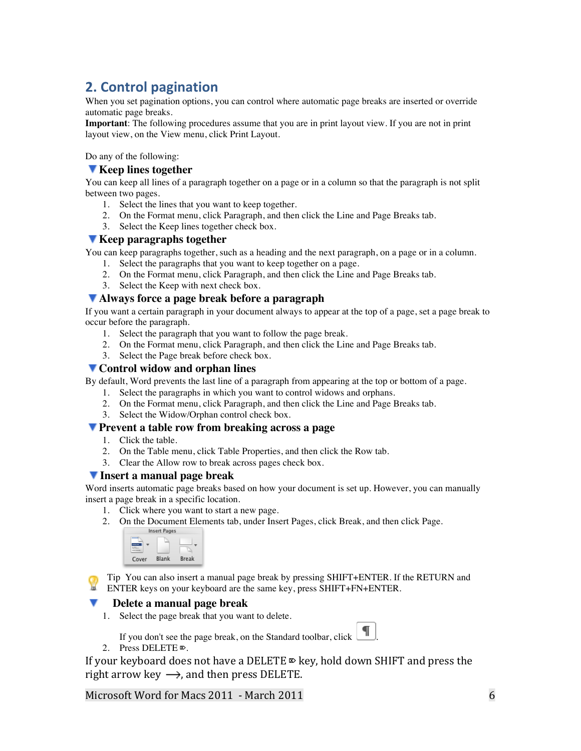# **2. Control pagination**

When you set pagination options, you can control where automatic page breaks are inserted or override automatic page breaks.

**Important**: The following procedures assume that you are in print layout view. If you are not in print layout view, on the View menu, click Print Layout.

Do any of the following:

#### **Keep lines together**

You can keep all lines of a paragraph together on a page or in a column so that the paragraph is not split between two pages.

- 1. Select the lines that you want to keep together.
- 2. On the Format menu, click Paragraph, and then click the Line and Page Breaks tab.
- 3. Select the Keep lines together check box.

#### **Keep paragraphs together**

You can keep paragraphs together, such as a heading and the next paragraph, on a page or in a column.

- 1. Select the paragraphs that you want to keep together on a page.
- 2. On the Format menu, click Paragraph, and then click the Line and Page Breaks tab.
- 3. Select the Keep with next check box.

### **Always force a page break before a paragraph**

If you want a certain paragraph in your document always to appear at the top of a page, set a page break to occur before the paragraph.

- 1. Select the paragraph that you want to follow the page break.
- 2. On the Format menu, click Paragraph, and then click the Line and Page Breaks tab.
- 3. Select the Page break before check box.

#### **Control widow and orphan lines**

By default, Word prevents the last line of a paragraph from appearing at the top or bottom of a page.

- 1. Select the paragraphs in which you want to control widows and orphans.
- 2. On the Format menu, click Paragraph, and then click the Line and Page Breaks tab.
- 3. Select the Widow/Orphan control check box.

#### **Prevent a table row from breaking across a page**

- 1. Click the table.
- 2. On the Table menu, click Table Properties, and then click the Row tab.
- 3. Clear the Allow row to break across pages check box.

### **Insert a manual page break**

Word inserts automatic page breaks based on how your document is set up. However, you can manually insert a page break in a specific location.

- 1. Click where you want to start a new page.
- 2. On the Document Elements tab, under Insert Pages, click Break, and then click Page.



Tip You can also insert a manual page break by pressing SHIFT+ENTER. If the RETURN and ENTER keys on your keyboard are the same key, press SHIFT+FN+ENTER.

#### **Delete a manual page break**

1. Select the page break that you want to delete.

If you don't see the page break, on the Standard toolbar, click  $\Box$ 

2. Press DELETE ⌦.

If your keyboard does not have a DELETE  $\Phi$  key, hold down SHIFT and press the right arrow key  $\longrightarrow$ , and then press DELETE.

Microsoft Word for Macs 2011 - March 2011  $\sim$  000  $\sim$  000  $\sim$  000  $\sim$  000  $\sim$  000  $\sim$  000  $\sim$  000  $\sim$  000  $\sim$  000  $\sim$  000  $\sim$  000  $\sim$  000  $\sim$  000  $\sim$  000  $\sim$  000  $\sim$  000  $\sim$  000  $\sim$  000  $\sim$  000  $\sim$  000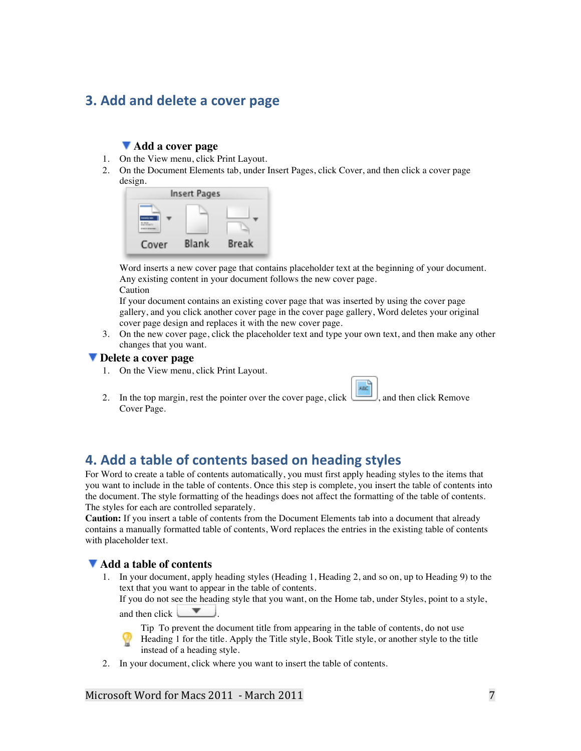# **3. Add and delete a cover page**

### **Add a cover page**

- 1. On the View menu, click Print Layout.
- 2. On the Document Elements tab, under Insert Pages, click Cover, and then click a cover page design.

|       | <b>Insert Pages</b> |       |
|-------|---------------------|-------|
|       |                     |       |
| Cover | Blank               | Break |

Word inserts a new cover page that contains placeholder text at the beginning of your document. Any existing content in your document follows the new cover page.

Caution

If your document contains an existing cover page that was inserted by using the cover page gallery, and you click another cover page in the cover page gallery, Word deletes your original cover page design and replaces it with the new cover page.

3. On the new cover page, click the placeholder text and type your own text, and then make any other changes that you want.

#### **Delete a cover page**

- 1. On the View menu, click Print Layout.
- 2. In the top margin, rest the pointer over the cover page, click  $\Box$ , and then click Remove Cover Page.

# **4. Add a table of contents based on heading styles**

For Word to create a table of contents automatically, you must first apply heading styles to the items that you want to include in the table of contents. Once this step is complete, you insert the table of contents into the document. The style formatting of the headings does not affect the formatting of the table of contents. The styles for each are controlled separately.

**Caution:** If you insert a table of contents from the Document Elements tab into a document that already contains a manually formatted table of contents, Word replaces the entries in the existing table of contents with placeholder text.

#### **Add a table of contents**

1. In your document, apply heading styles (Heading 1, Heading 2, and so on, up to Heading 9) to the text that you want to appear in the table of contents.

If you do not see the heading style that you want, on the Home tab, under Styles, point to a style, and then click  $\qquad \qquad$ 

Tip To prevent the document title from appearing in the table of contents, do not use Heading 1 for the title. Apply the Title style, Book Title style, or another style to the title instead of a heading style.

2. In your document, click where you want to insert the table of contents.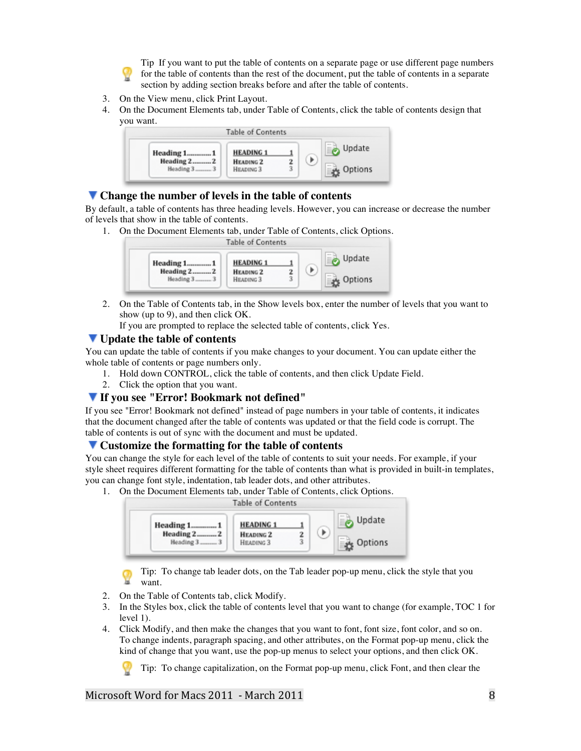Tip If you want to put the table of contents on a separate page or use different page numbers for the table of contents than the rest of the document, put the table of contents in a separate section by adding section breaks before and after the table of contents.

- 3. On the View menu, click Print Layout.
- 4. On the Document Elements tab, under Table of Contents, click the table of contents design that you want.



#### **Change the number of levels in the table of contents**

By default, a table of contents has three heading levels. However, you can increase or decrease the number of levels that show in the table of contents.

1. On the Document Elements tab, under Table of Contents, click Options.



2. On the Table of Contents tab, in the Show levels box, enter the number of levels that you want to show (up to 9), and then click OK.

If you are prompted to replace the selected table of contents, click Yes.

#### **Update the table of contents**

You can update the table of contents if you make changes to your document. You can update either the whole table of contents or page numbers only.

- 1. Hold down CONTROL, click the table of contents, and then click Update Field.
- 2. Click the option that you want.

### **If you see "Error! Bookmark not defined"**

If you see "Error! Bookmark not defined" instead of page numbers in your table of contents, it indicates that the document changed after the table of contents was updated or that the field code is corrupt. The table of contents is out of sync with the document and must be updated.

#### **Customize the formatting for the table of contents**

You can change the style for each level of the table of contents to suit your needs. For example, if your style sheet requires different formatting for the table of contents than what is provided in built-in templates, you can change font style, indentation, tab leader dots, and other attributes.

1. On the Document Elements tab, under Table of Contents, click Options.



Tip: To change tab leader dots, on the Tab leader pop-up menu, click the style that you want.

- 2. On the Table of Contents tab, click Modify.
- 3. In the Styles box, click the table of contents level that you want to change (for example, TOC 1 for level 1).
- 4. Click Modify, and then make the changes that you want to font, font size, font color, and so on. To change indents, paragraph spacing, and other attributes, on the Format pop-up menu, click the kind of change that you want, use the pop-up menus to select your options, and then click OK.

Tip: To change capitalization, on the Format pop-up menu, click Font, and then clear the

Microsoft Word for Macs 2011 - March 2011 8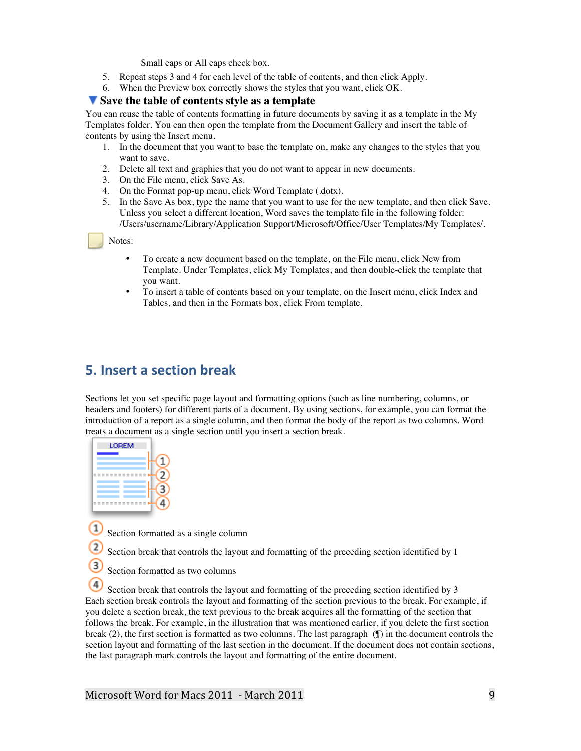Small caps or All caps check box.

- 5. Repeat steps 3 and 4 for each level of the table of contents, and then click Apply.
- 6. When the Preview box correctly shows the styles that you want, click OK.

#### **Save the table of contents style as a template**

You can reuse the table of contents formatting in future documents by saving it as a template in the My Templates folder. You can then open the template from the Document Gallery and insert the table of contents by using the Insert menu.

- 1. In the document that you want to base the template on, make any changes to the styles that you want to save.
- 2. Delete all text and graphics that you do not want to appear in new documents.
- 3. On the File menu, click Save As.
- 4. On the Format pop-up menu, click Word Template (.dotx).
- 5. In the Save As box, type the name that you want to use for the new template, and then click Save. Unless you select a different location, Word saves the template file in the following folder: /Users/username/Library/Application Support/Microsoft/Office/User Templates/My Templates/.

#### Notes:

- To create a new document based on the template, on the File menu, click New from Template. Under Templates, click My Templates, and then double-click the template that you want.
- To insert a table of contents based on your template, on the Insert menu, click Index and Tables, and then in the Formats box, click From template.

# **5.** Insert a section break

Sections let you set specific page layout and formatting options (such as line numbering, columns, or headers and footers) for different parts of a document. By using sections, for example, you can format the introduction of a report as a single column, and then format the body of the report as two columns. Word treats a document as a single section until you insert a section break.

Section formatted as a single column

Section break that controls the layout and formatting of the preceding section identified by 1

Section formatted as two columns

 Section break that controls the layout and formatting of the preceding section identified by 3 Each section break controls the layout and formatting of the section previous to the break. For example, if you delete a section break, the text previous to the break acquires all the formatting of the section that follows the break. For example, in the illustration that was mentioned earlier, if you delete the first section break (2), the first section is formatted as two columns. The last paragraph (¶) in the document controls the section layout and formatting of the last section in the document. If the document does not contain sections, the last paragraph mark controls the layout and formatting of the entire document.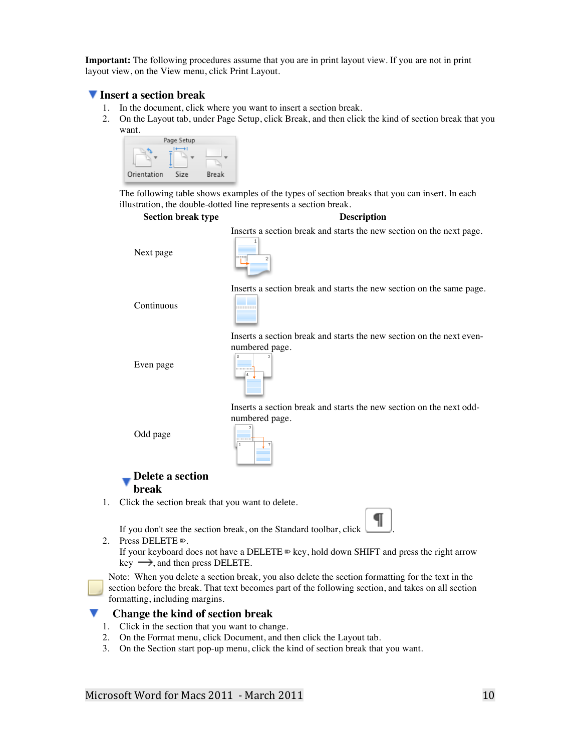**Important:** The following procedures assume that you are in print layout view. If you are not in print layout view, on the View menu, click Print Layout.

#### **Insert a section break**

- 1. In the document, click where you want to insert a section break.
- 2. On the Layout tab, under Page Setup, click Break, and then click the kind of section break that you want.



The following table shows examples of the types of section breaks that you can insert. In each illustration, the double-dotted line represents a section break.



2. Press DELETE ⌦.

If your keyboard does not have a DELETE  $\mathbb{D}$  key, hold down SHIFT and press the right arrow  $key \rightarrow$ , and then press DELETE.

Note: When you delete a section break, you also delete the section formatting for the text in the section before the break. That text becomes part of the following section, and takes on all section formatting, including margins.

#### **Change the kind of section break**

- 1. Click in the section that you want to change.
- 2. On the Format menu, click Document, and then click the Layout tab.
- 3. On the Section start pop-up menu, click the kind of section break that you want.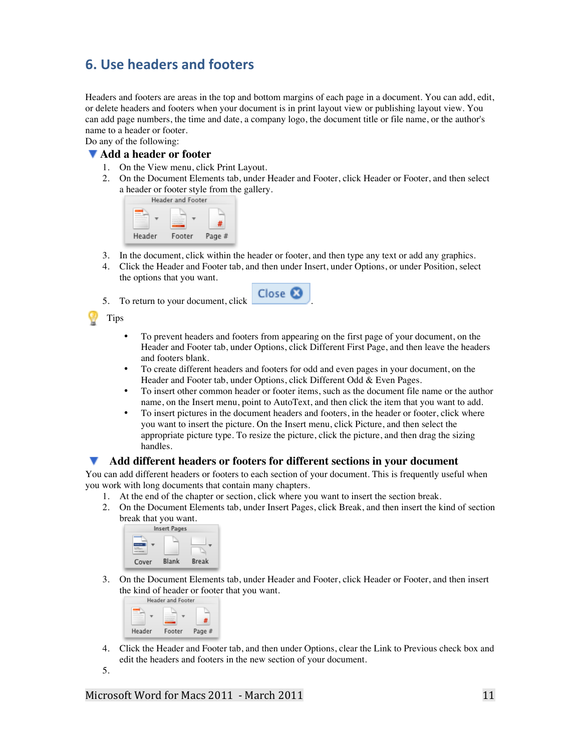# **6. Use headers and footers**

Headers and footers are areas in the top and bottom margins of each page in a document. You can add, edit, or delete headers and footers when your document is in print layout view or publishing layout view. You can add page numbers, the time and date, a company logo, the document title or file name, or the author's name to a header or footer.

Do any of the following:

#### **Add a header or footer**

- 1. On the View menu, click Print Layout.
- 2. On the Document Elements tab, under Header and Footer, click Header or Footer, and then select a header or footer style from the gallery.



- 3. In the document, click within the header or footer, and then type any text or add any graphics.
- 4. Click the Header and Footer tab, and then under Insert, under Options, or under Position, select the options that you want.
- 5. To return to your document, click .
	-

Tips

- To prevent headers and footers from appearing on the first page of your document, on the Header and Footer tab, under Options, click Different First Page, and then leave the headers and footers blank.
- To create different headers and footers for odd and even pages in your document, on the Header and Footer tab, under Options, click Different Odd & Even Pages.
- To insert other common header or footer items, such as the document file name or the author name, on the Insert menu, point to AutoText, and then click the item that you want to add.
- To insert pictures in the document headers and footers, in the header or footer, click where you want to insert the picture. On the Insert menu, click Picture, and then select the appropriate picture type. To resize the picture, click the picture, and then drag the sizing handles.

#### **Add different headers or footers for different sections in your document**

You can add different headers or footers to each section of your document. This is frequently useful when you work with long documents that contain many chapters.

- 1. At the end of the chapter or section, click where you want to insert the section break.
- 2. On the Document Elements tab, under Insert Pages, click Break, and then insert the kind of section break that you want.

|       | <b>Insert Pages</b> |       |
|-------|---------------------|-------|
|       |                     |       |
| Cover | Blank               | Break |

3. On the Document Elements tab, under Header and Footer, click Header or Footer, and then insert the kind of header or footer that you want.<br>Header and Footer



4. Click the Header and Footer tab, and then under Options, clear the Link to Previous check box and edit the headers and footers in the new section of your document.

5.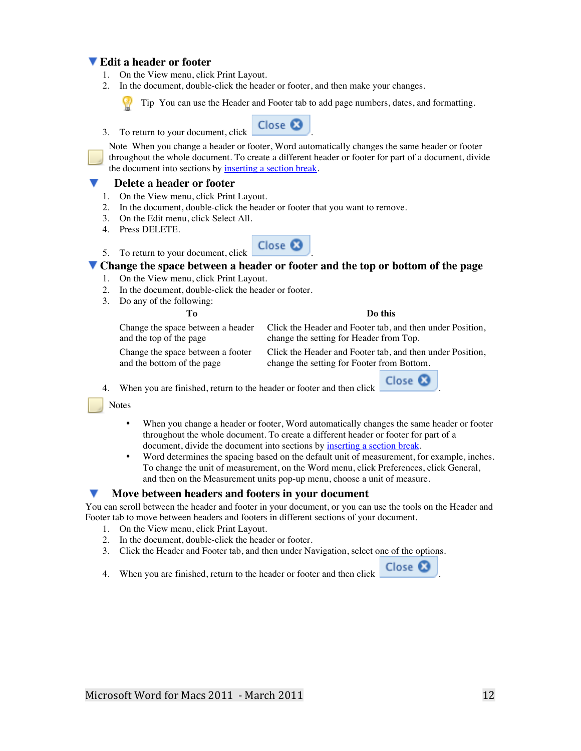### **Edit a header or footer**

- 1. On the View menu, click Print Layout.
- 2. In the document, double-click the header or footer, and then make your changes.



Tip You can use the Header and Footer tab to add page numbers, dates, and formatting.



Note When you change a header or footer, Word automatically changes the same header or footer throughout the whole document. To create a different header or footer for part of a document, divide the document into sections by inserting a section break.

#### **Delete a header or footer**

- 1. On the View menu, click Print Layout.
- 2. In the document, double-click the header or footer that you want to remove.
- 3. On the Edit menu, click Select All.
- 4. Press DELETE.



#### **Change the space between a header or footer and the top or bottom of the page**

- 1. On the View menu, click Print Layout.
- 2. In the document, double-click the header or footer.
- 3. Do any of the following:

and the top of the page

**To Do this**

Change the space between a header Click the Header and Footer tab, and then under Position, change the setting for Header from Top.

Change the space between a footer and the bottom of the page

Click the Header and Footer tab, and then under Position, change the setting for Footer from Bottom.

4. When you are finished, return to the header or footer and then click **Close &** 

**Notes** 

- When you change a header or footer, Word automatically changes the same header or footer throughout the whole document. To create a different header or footer for part of a document, divide the document into sections by inserting a section break.
- Word determines the spacing based on the default unit of measurement, for example, inches. To change the unit of measurement, on the Word menu, click Preferences, click General, and then on the Measurement units pop-up menu, choose a unit of measure.

#### **Move between headers and footers in your document**

You can scroll between the header and footer in your document, or you can use the tools on the Header and Footer tab to move between headers and footers in different sections of your document.

- 1. On the View menu, click Print Layout.
- 2. In the document, double-click the header or footer.
- 3. Click the Header and Footer tab, and then under Navigation, select one of the options.
- 4. When you are finished, return to the header or footer and then click **Close**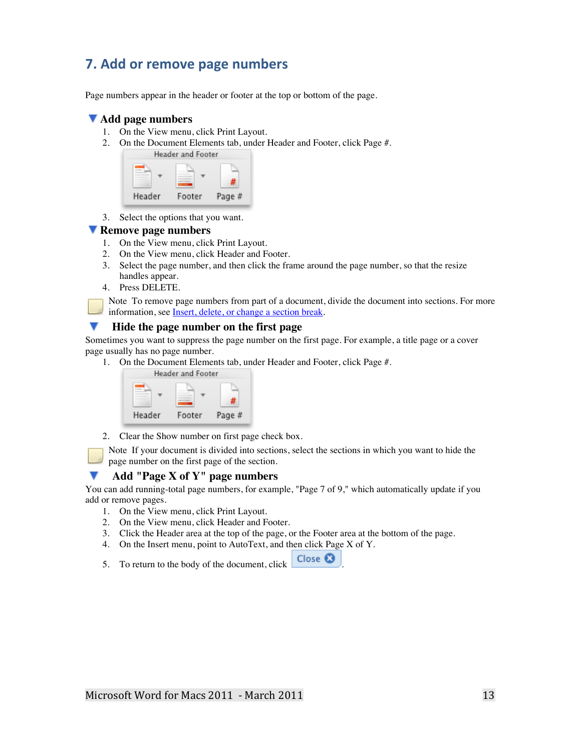# **7. Add or remove page numbers**

Page numbers appear in the header or footer at the top or bottom of the page.

### **Add page numbers**

- 1. On the View menu, click Print Layout.
- 2. On the Document Elements tab, under Header and Footer, click Page #.

|        | <b>Header and Footer</b> |        |  |
|--------|--------------------------|--------|--|
|        |                          |        |  |
| Header | Footer                   | Page # |  |

3. Select the options that you want.

#### **Remove page numbers**

- 1. On the View menu, click Print Layout.
- 2. On the View menu, click Header and Footer.
- 3. Select the page number, and then click the frame around the page number, so that the resize handles appear.
- 4. Press DELETE.

Note To remove page numbers from part of a document, divide the document into sections. For more information, see Insert, delete, or change a section break.

#### v **Hide the page number on the first page**

Sometimes you want to suppress the page number on the first page. For example, a title page or a cover page usually has no page number.

1. On the Document Elements tab, under Header and Footer, click Page #.



2. Clear the Show number on first page check box.

Note If your document is divided into sections, select the sections in which you want to hide the page number on the first page of the section.

#### **Add "Page X of Y" page numbers**

You can add running-total page numbers, for example, "Page 7 of 9," which automatically update if you add or remove pages.

- 1. On the View menu, click Print Layout.
- 2. On the View menu, click Header and Footer.
- 3. Click the Header area at the top of the page, or the Footer area at the bottom of the page.
- 4. On the Insert menu, point to AutoText, and then click Page X of Y.
- 5. To return to the body of the document, click  $\Box$  Close  $\Box$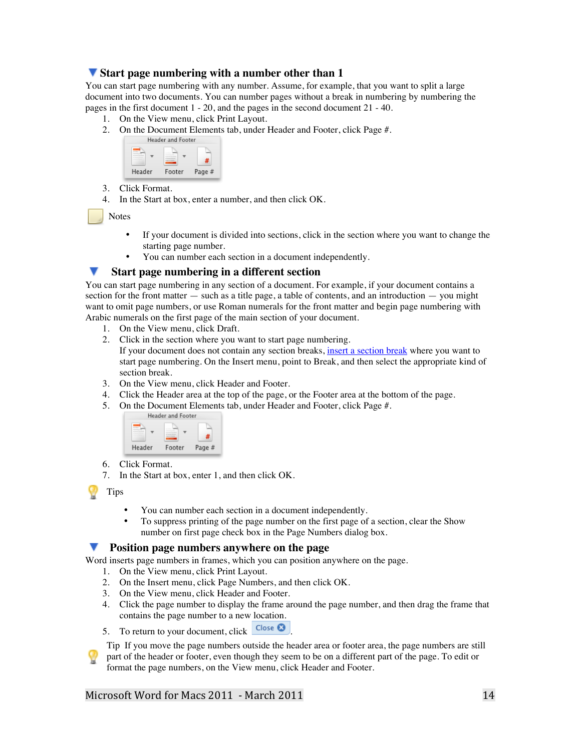## **Start page numbering with a number other than 1**

You can start page numbering with any number. Assume, for example, that you want to split a large document into two documents. You can number pages without a break in numbering by numbering the pages in the first document 1 - 20, and the pages in the second document 21 - 40.

- 1. On the View menu, click Print Layout.
- 2. On the Document Elements tab, under Header and Footer, click Page #.<br>Header and Footer



- 3. Click Format.
- 4. In the Start at box, enter a number, and then click OK.

Notes

- If your document is divided into sections, click in the section where you want to change the starting page number.
- You can number each section in a document independently.

#### **Start page numbering in a different section**

You can start page numbering in any section of a document. For example, if your document contains a section for the front matter — such as a title page, a table of contents, and an introduction — you might want to omit page numbers, or use Roman numerals for the front matter and begin page numbering with Arabic numerals on the first page of the main section of your document.

- 1. On the View menu, click Draft.
- 2. Click in the section where you want to start page numbering. If your document does not contain any section breaks, insert a section break where you want to start page numbering. On the Insert menu, point to Break, and then select the appropriate kind of section break.
- 3. On the View menu, click Header and Footer.
- 4. Click the Header area at the top of the page, or the Footer area at the bottom of the page.
- 5. On the Document Elements tab, under Header and Footer, click Page #.<br>Header and Footer



- 6. Click Format.
- 7. In the Start at box, enter 1, and then click OK.

Tips

- You can number each section in a document independently.
- To suppress printing of the page number on the first page of a section, clear the Show number on first page check box in the Page Numbers dialog box.

#### **Position page numbers anywhere on the page**

Word inserts page numbers in frames, which you can position anywhere on the page.

- 1. On the View menu, click Print Layout.
- 2. On the Insert menu, click Page Numbers, and then click OK.
- 3. On the View menu, click Header and Footer.
- 4. Click the page number to display the frame around the page number, and then drag the frame that contains the page number to a new location.
- 5. To return to your document, click  $\overline{\text{Close } } \text{C}$

Tip If you move the page numbers outside the header area or footer area, the page numbers are still part of the header or footer, even though they seem to be on a different part of the page. To edit or format the page numbers, on the View menu, click Header and Footer.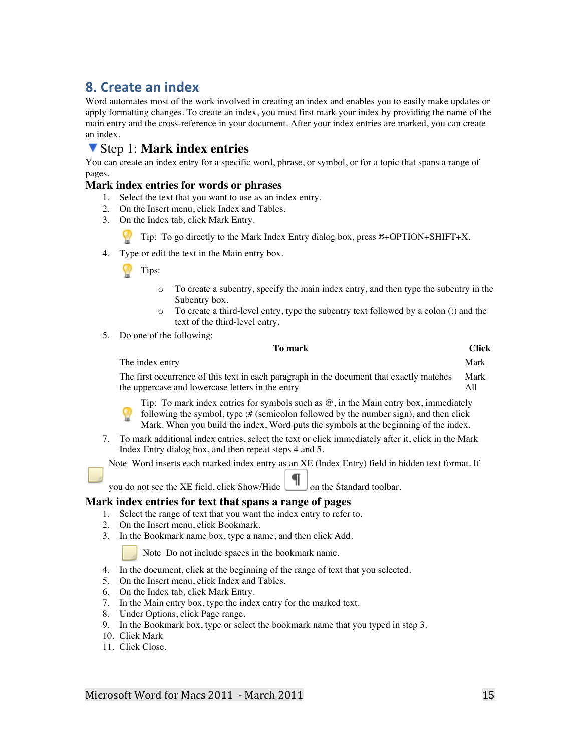# **8. Create an index**

Word automates most of the work involved in creating an index and enables you to easily make updates or apply formatting changes. To create an index, you must first mark your index by providing the name of the main entry and the cross-reference in your document. After your index entries are marked, you can create an index.

# Step 1: **Mark index entries**

You can create an index entry for a specific word, phrase, or symbol, or for a topic that spans a range of pages.

#### **Mark index entries for words or phrases**

- 1. Select the text that you want to use as an index entry.
- 2. On the Insert menu, click Index and Tables.
- 3. On the Index tab, click Mark Entry.

Tip: To go directly to the Mark Index Entry dialog box, press  $\frac{\text{R}}{\text{R}}$ +OPTION+SHIFT+X.

4. Type or edit the text in the Main entry box.

Tips:

- o To create a subentry, specify the main index entry, and then type the subentry in the Subentry box.
- o To create a third-level entry, type the subentry text followed by a colon (:) and the text of the third-level entry.
- 5. Do one of the following:

## **To mark Click**

| The index entry                                                                          | Mark |
|------------------------------------------------------------------------------------------|------|
| The first occurrence of this text in each paragraph in the document that exactly matches | Mark |
| the uppercase and lowercase letters in the entry                                         | All  |

Tip: To mark index entries for symbols such as  $\mathcal{Q}$ , in the Main entry box, immediately following the symbol, type ;# (semicolon followed by the number sign), and then click Mark. When you build the index, Word puts the symbols at the beginning of the index.

7. To mark additional index entries, select the text or click immediately after it, click in the Mark Index Entry dialog box, and then repeat steps 4 and 5.

Note Word inserts each marked index entry as an XE (Index Entry) field in hidden text format. If

you do not see the XE field, click Show/Hide  $\Box$  on the Standard toolbar.

#### **Mark index entries for text that spans a range of pages**

- 1. Select the range of text that you want the index entry to refer to.
- 2. On the Insert menu, click Bookmark.
- 3. In the Bookmark name box, type a name, and then click Add.

Note Do not include spaces in the bookmark name.

- 4. In the document, click at the beginning of the range of text that you selected.
- 5. On the Insert menu, click Index and Tables.
- 6. On the Index tab, click Mark Entry.
- 7. In the Main entry box, type the index entry for the marked text.
- 8. Under Options, click Page range.
- 9. In the Bookmark box, type or select the bookmark name that you typed in step 3.
- 10. Click Mark
- 11. Click Close.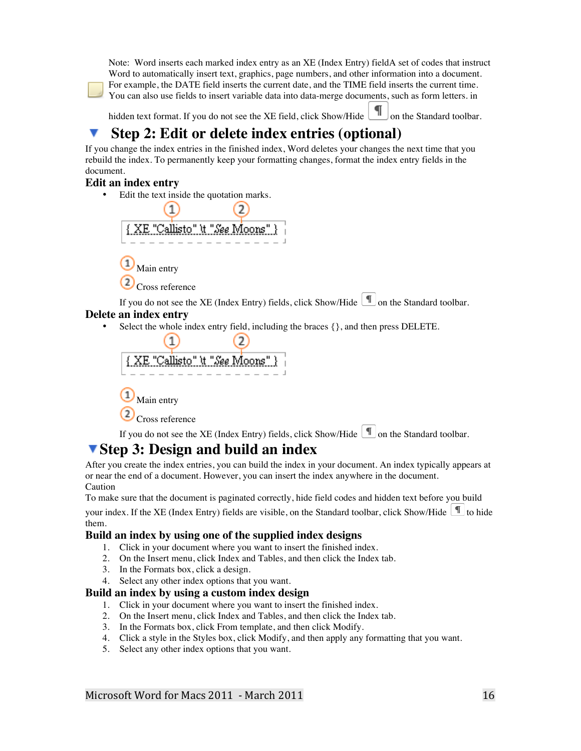Note: Word inserts each marked index entry as an XE (Index Entry) fieldA set of codes that instruct Word to automatically insert text, graphics, page numbers, and other information into a document. For example, the DATE field inserts the current date, and the TIME field inserts the current time. You can also use fields to insert variable data into data-merge documents, such as form letters. in

hidden text format. If you do not see the XE field, click Show/Hide  $\Box$  on the Standard toolbar.

# **Step 2: Edit or delete index entries (optional)**

If you change the index entries in the finished index, Word deletes your changes the next time that you rebuild the index. To permanently keep your formatting changes, format the index entry fields in the document.

# **Edit an index entry**

• Edit the text inside the quotation marks.



If you do not see the XE (Index Entry) fields, click Show/Hide  $\Box$  on the Standard toolbar. **Delete an index entry**

Select the whole index entry field, including the braces  $\{\}$ , and then press DELETE.



If you do not see the XE (Index Entry) fields, click Show/Hide  $\Box$  on the Standard toolbar.

# **Step 3: Design and build an index**

After you create the index entries, you can build the index in your document. An index typically appears at or near the end of a document. However, you can insert the index anywhere in the document. Caution

To make sure that the document is paginated correctly, hide field codes and hidden text before you build

your index. If the XE (Index Entry) fields are visible, on the Standard toolbar, click Show/Hide  $\Box$  to hide them.

# **Build an index by using one of the supplied index designs**

- 1. Click in your document where you want to insert the finished index.
- 2. On the Insert menu, click Index and Tables, and then click the Index tab.
- 3. In the Formats box, click a design.

Cross reference

4. Select any other index options that you want.

### **Build an index by using a custom index design**

- 1. Click in your document where you want to insert the finished index.
- 2. On the Insert menu, click Index and Tables, and then click the Index tab.
- 3. In the Formats box, click From template, and then click Modify.
- 4. Click a style in the Styles box, click Modify, and then apply any formatting that you want.
- 5. Select any other index options that you want.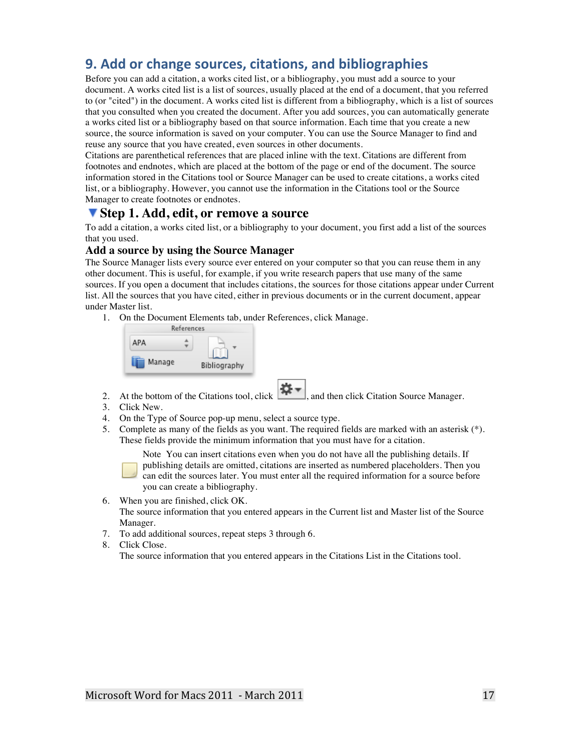# **9. Add or change sources, citations, and bibliographies**

Before you can add a citation, a works cited list, or a bibliography, you must add a source to your document. A works cited list is a list of sources, usually placed at the end of a document, that you referred to (or "cited") in the document. A works cited list is different from a bibliography, which is a list of sources that you consulted when you created the document. After you add sources, you can automatically generate a works cited list or a bibliography based on that source information. Each time that you create a new source, the source information is saved on your computer. You can use the Source Manager to find and reuse any source that you have created, even sources in other documents.

Citations are parenthetical references that are placed inline with the text. Citations are different from footnotes and endnotes, which are placed at the bottom of the page or end of the document. The source information stored in the Citations tool or Source Manager can be used to create citations, a works cited list, or a bibliography. However, you cannot use the information in the Citations tool or the Source Manager to create footnotes or endnotes.

# **Step 1. Add, edit, or remove a source**

To add a citation, a works cited list, or a bibliography to your document, you first add a list of the sources that you used.

#### **Add a source by using the Source Manager**

The Source Manager lists every source ever entered on your computer so that you can reuse them in any other document. This is useful, for example, if you write research papers that use many of the same sources. If you open a document that includes citations, the sources for those citations appear under Current list. All the sources that you have cited, either in previous documents or in the current document, appear under Master list.

1. On the Document Elements tab, under References, click Manage.

|        | References   |  |
|--------|--------------|--|
| APA    |              |  |
| Manage | Bibliography |  |

- 2. At the bottom of the Citations tool, click  $\begin{bmatrix} 1 & 1 \\ 1 & 1 \end{bmatrix}$  and then click Citation Source Manager.
- 3. Click New.
- 4. On the Type of Source pop-up menu, select a source type.
- 5. Complete as many of the fields as you want. The required fields are marked with an asterisk (\*). These fields provide the minimum information that you must have for a citation.

Note You can insert citations even when you do not have all the publishing details. If publishing details are omitted, citations are inserted as numbered placeholders. Then you can edit the sources later. You must enter all the required information for a source before you can create a bibliography.

- 6. When you are finished, click OK. The source information that you entered appears in the Current list and Master list of the Source Manager.
- 7. To add additional sources, repeat steps 3 through 6.
- 8. Click Close. The source information that you entered appears in the Citations List in the Citations tool.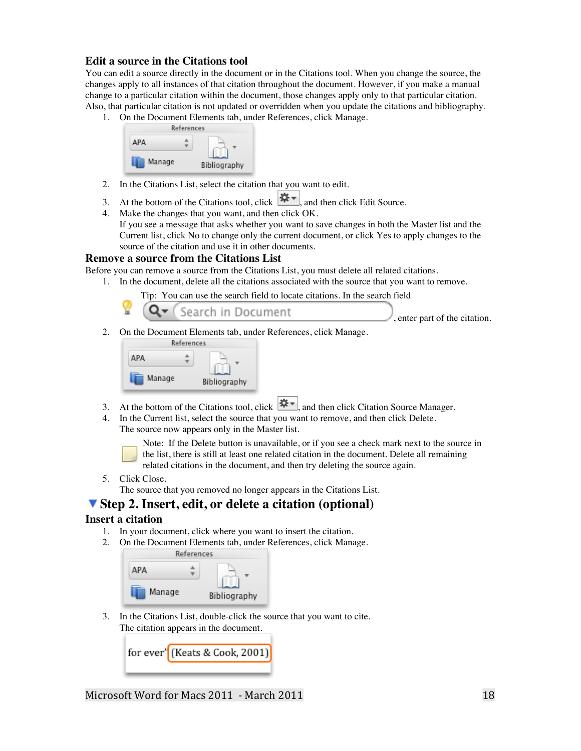#### **Edit a source in the Citations tool**

You can edit a source directly in the document or in the Citations tool. When you change the source, the changes apply to all instances of that citation throughout the document. However, if you make a manual change to a particular citation within the document, those changes apply only to that particular citation. Also, that particular citation is not updated or overridden when you update the citations and bibliography.

1. On the Document Elements tab, under References, click Manage.



- 2. In the Citations List, select the citation that you want to edit.
- 3. At the bottom of the Citations tool, click  $\frac{|\mathbf{Q} \mathbf{r}|}{|\mathbf{Q}|}$  and then click Edit Source.
- 4. Make the changes that you want, and then click OK. If you see a message that asks whether you want to save changes in both the Master list and the Current list, click No to change only the current document, or click Yes to apply changes to the source of the citation and use it in other documents.

#### **Remove a source from the Citations List**

Before you can remove a source from the Citations List, you must delete all related citations.

- 1. In the document, delete all the citations associated with the source that you want to remove.
	- Tip: You can use the search field to locate citations. In the search field

|  |  |  | Q F (Search in Document |  |
|--|--|--|-------------------------|--|
|--|--|--|-------------------------|--|

, enter part of the citation.

2. On the Document Elements tab, under References, click Manage.

| References   |
|--------------|
|              |
| Bibliography |
|              |

- 3. At the bottom of the Citations tool, click  $\left|\mathbf{\ddot{x}}\right|$ , and then click Citation Source Manager.
- 4. In the Current list, select the source that you want to remove, and then click Delete. The source now appears only in the Master list.

Note: If the Delete button is unavailable, or if you see a check mark next to the source in the list, there is still at least one related citation in the document. Delete all remaining related citations in the document, and then try deleting the source again.

5. Click Close.

The source that you removed no longer appears in the Citations List.

# **Step 2. Insert, edit, or delete a citation (optional)**

#### **Insert a citation**

- 1. In your document, click where you want to insert the citation.
- 2. On the Document Elements tab, under References, click Manage.

|        | References |              |
|--------|------------|--------------|
| АРА    |            |              |
| Manage |            | Bibliography |

3. In the Citations List, double-click the source that you want to cite. The citation appears in the document.

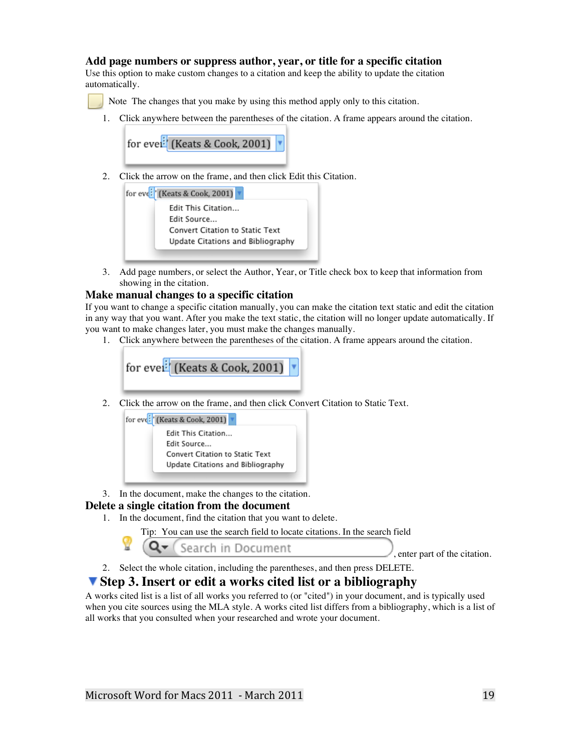### **Add page numbers or suppress author, year, or title for a specific citation**

Use this option to make custom changes to a citation and keep the ability to update the citation automatically.

Note The changes that you make by using this method apply only to this citation.

1. Click anywhere between the parentheses of the citation. A frame appears around the citation.

for evel<sup>:</sup> (Keats & Cook, 2001)

2. Click the arrow on the frame, and then click Edit this Citation.

| for eve <sup>:</sup> (Keats & Cook, 2001) |
|-------------------------------------------|
| Edit This Citation                        |
| Edit Source                               |
| Convert Citation to Static Text           |
| Update Citations and Bibliography         |

3. Add page numbers, or select the Author, Year, or Title check box to keep that information from showing in the citation.

#### **Make manual changes to a specific citation**

If you want to change a specific citation manually, you can make the citation text static and edit the citation in any way that you want. After you make the text static, the citation will no longer update automatically. If you want to make changes later, you must make the changes manually.

1. Click anywhere between the parentheses of the citation. A frame appears around the citation.

for evel<sup>:</sup> (Keats & Cook, 2001)

2. Click the arrow on the frame, and then click Convert Citation to Static Text.



3. In the document, make the changes to the citation.

### **Delete a single citation from the document**

- 1. In the document, find the citation that you want to delete.
	- Tip: You can use the search field to locate citations. In the search field

Search in Document

, enter part of the citation.

2. Select the whole citation, including the parentheses, and then press DELETE.

# **Step 3. Insert or edit a works cited list or a bibliography**

A works cited list is a list of all works you referred to (or "cited") in your document, and is typically used when you cite sources using the MLA style. A works cited list differs from a bibliography, which is a list of all works that you consulted when your researched and wrote your document.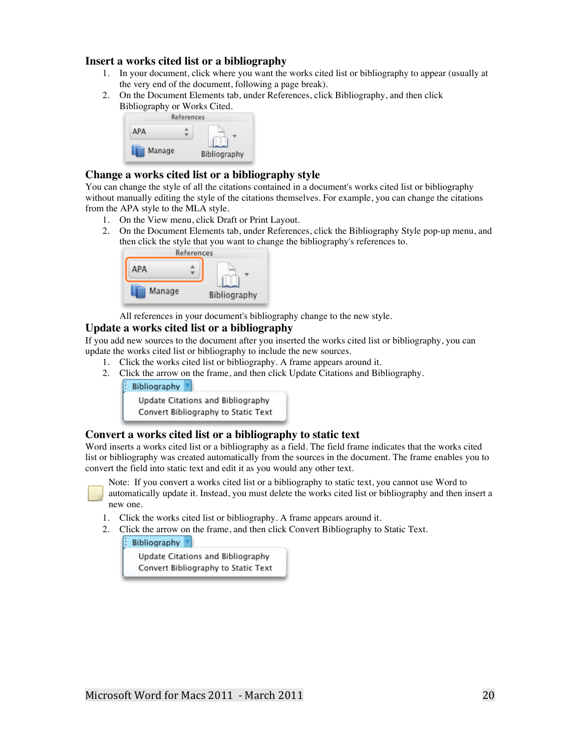#### **Insert a works cited list or a bibliography**

- 1. In your document, click where you want the works cited list or bibliography to appear (usually at the very end of the document, following a page break).
- 2. On the Document Elements tab, under References, click Bibliography, and then click Bibliography or Works Cited.



### **Change a works cited list or a bibliography style**

You can change the style of all the citations contained in a document's works cited list or bibliography without manually editing the style of the citations themselves. For example, you can change the citations from the APA style to the MLA style.

- 1. On the View menu, click Draft or Print Layout.
- 2. On the Document Elements tab, under References, click the Bibliography Style pop-up menu, and then click the style that you want to change the bibliography's references to.



All references in your document's bibliography change to the new style.

### **Update a works cited list or a bibliography**

If you add new sources to the document after you inserted the works cited list or bibliography, you can update the works cited list or bibliography to include the new sources.

- 1. Click the works cited list or bibliography. A frame appears around it.
- 2. Click the arrow on the frame, and then click Update Citations and Bibliography.
	- Bibliography



#### **Convert a works cited list or a bibliography to static text**

Word inserts a works cited list or a bibliography as a field. The field frame indicates that the works cited list or bibliography was created automatically from the sources in the document. The frame enables you to convert the field into static text and edit it as you would any other text.

Note: If you convert a works cited list or a bibliography to static text, you cannot use Word to automatically update it. Instead, you must delete the works cited list or bibliography and then insert a new one.

- 1. Click the works cited list or bibliography. A frame appears around it.
- 2. Click the arrow on the frame, and then click Convert Bibliography to Static Text.

Bibliography

Update Citations and Bibliography Convert Bibliography to Static Text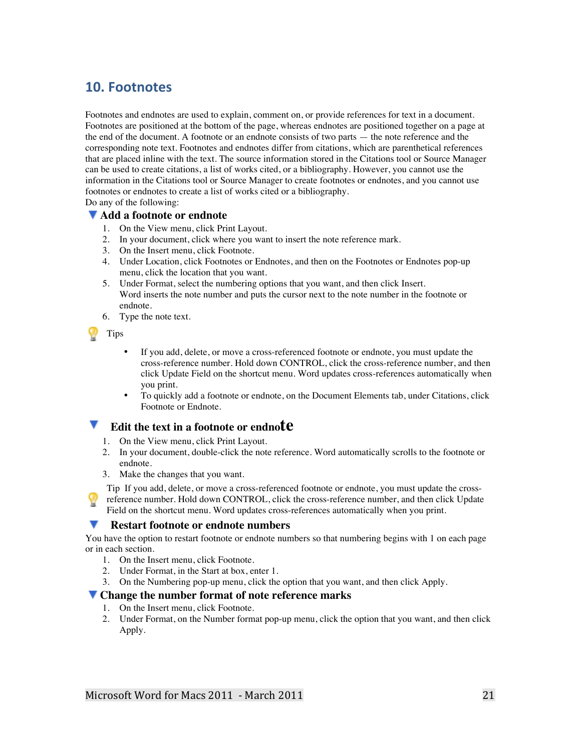# **10. Footnotes**

Footnotes and endnotes are used to explain, comment on, or provide references for text in a document. Footnotes are positioned at the bottom of the page, whereas endnotes are positioned together on a page at the end of the document. A footnote or an endnote consists of two parts — the note reference and the corresponding note text. Footnotes and endnotes differ from citations, which are parenthetical references that are placed inline with the text. The source information stored in the Citations tool or Source Manager can be used to create citations, a list of works cited, or a bibliography. However, you cannot use the information in the Citations tool or Source Manager to create footnotes or endnotes, and you cannot use footnotes or endnotes to create a list of works cited or a bibliography.

Do any of the following:

#### **Add a footnote or endnote**

- 1. On the View menu, click Print Layout.
- 2. In your document, click where you want to insert the note reference mark.
- 3. On the Insert menu, click Footnote.
- 4. Under Location, click Footnotes or Endnotes, and then on the Footnotes or Endnotes pop-up menu, click the location that you want.
- 5. Under Format, select the numbering options that you want, and then click Insert. Word inserts the note number and puts the cursor next to the note number in the footnote or endnote.
- 6. Type the note text.

Tips

- If you add, delete, or move a cross-referenced footnote or endnote, you must update the cross-reference number. Hold down CONTROL, click the cross-reference number, and then click Update Field on the shortcut menu. Word updates cross-references automatically when you print.
- To quickly add a footnote or endnote, on the Document Elements tab, under Citations, click Footnote or Endnote.

## **Edit the text in a footnote or endnote**

- 1. On the View menu, click Print Layout.
- 2. In your document, double-click the note reference. Word automatically scrolls to the footnote or endnote.
- 3. Make the changes that you want.

Tip If you add, delete, or move a cross-referenced footnote or endnote, you must update the crossreference number. Hold down CONTROL, click the cross-reference number, and then click Update Field on the shortcut menu. Word updates cross-references automatically when you print.

### **Restart footnote or endnote numbers**

You have the option to restart footnote or endnote numbers so that numbering begins with 1 on each page or in each section.

- 1. On the Insert menu, click Footnote.
- 2. Under Format, in the Start at box, enter 1.
- 3. On the Numbering pop-up menu, click the option that you want, and then click Apply.

#### **Change the number format of note reference marks**

- 1. On the Insert menu, click Footnote.
- 2. Under Format, on the Number format pop-up menu, click the option that you want, and then click Apply.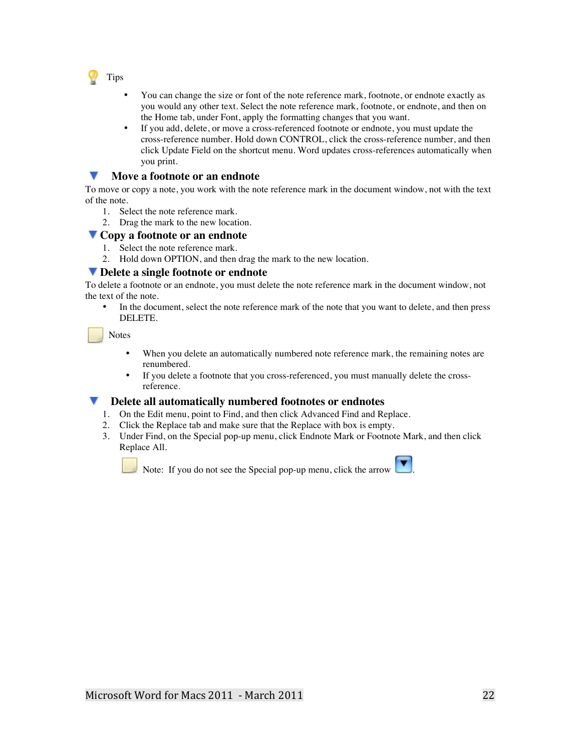

- You can change the size or font of the note reference mark, footnote, or endnote exactly as you would any other text. Select the note reference mark, footnote, or endnote, and then on the Home tab, under Font, apply the formatting changes that you want.
- If you add, delete, or move a cross-referenced footnote or endnote, you must update the cross-reference number. Hold down CONTROL, click the cross-reference number, and then click Update Field on the shortcut menu. Word updates cross-references automatically when you print.

#### v. **Move a footnote or an endnote**

To move or copy a note, you work with the note reference mark in the document window, not with the text of the note.

- 1. Select the note reference mark.
- 2. Drag the mark to the new location.

#### **Copy a footnote or an endnote**

- 1. Select the note reference mark.
- 2. Hold down OPTION, and then drag the mark to the new location.

#### **Delete a single footnote or endnote**

To delete a footnote or an endnote, you must delete the note reference mark in the document window, not the text of the note.

• In the document, select the note reference mark of the note that you want to delete, and then press DELETE.

Notes

- When you delete an automatically numbered note reference mark, the remaining notes are renumbered.
- If you delete a footnote that you cross-referenced, you must manually delete the crossreference.

#### **Delete all automatically numbered footnotes or endnotes**

- 1. On the Edit menu, point to Find, and then click Advanced Find and Replace.
- 2. Click the Replace tab and make sure that the Replace with box is empty.
- 3. Under Find, on the Special pop-up menu, click Endnote Mark or Footnote Mark, and then click Replace All.

Note: If you do not see the Special pop-up menu, click the arrow .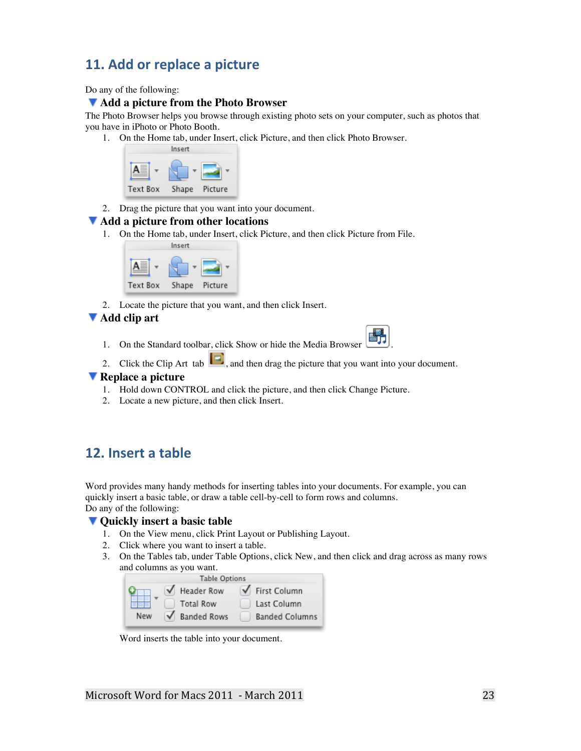# **11. Add or replace a picture**

Do any of the following:

#### **Add a picture from the Photo Browser**

The Photo Browser helps you browse through existing photo sets on your computer, such as photos that you have in iPhoto or Photo Booth.

1. On the Home tab, under Insert, click Picture, and then click Photo Browser.



2. Drag the picture that you want into your document.

#### **Add a picture from other locations**

1. On the Home tab, under Insert, click Picture, and then click Picture from File.



2. Locate the picture that you want, and then click Insert.

#### **Add clip art**

- 1. On the Standard toolbar, click Show or hide the Media Browser
- 2. Click the Clip Art tab  $\Box$ , and then drag the picture that you want into your document.

#### **Replace a picture**

- 1. Hold down CONTROL and click the picture, and then click Change Picture.
- 2. Locate a new picture, and then click Insert.

# **12. Insert a table**

Word provides many handy methods for inserting tables into your documents. For example, you can quickly insert a basic table, or draw a table cell-by-cell to form rows and columns. Do any of the following:

#### **Quickly insert a basic table**

- 1. On the View menu, click Print Layout or Publishing Layout.
- 2. Click where you want to insert a table.
- 3. On the Tables tab, under Table Options, click New, and then click and drag across as many rows and columns as you want.

|     | <b>Table Options</b> |                       |
|-----|----------------------|-----------------------|
|     | <b>Header Row</b>    | ↓ First Column        |
|     | <b>Total Row</b>     | Last Column           |
| New | <b>Banded Rows</b>   | <b>Banded Columns</b> |

Word inserts the table into your document.